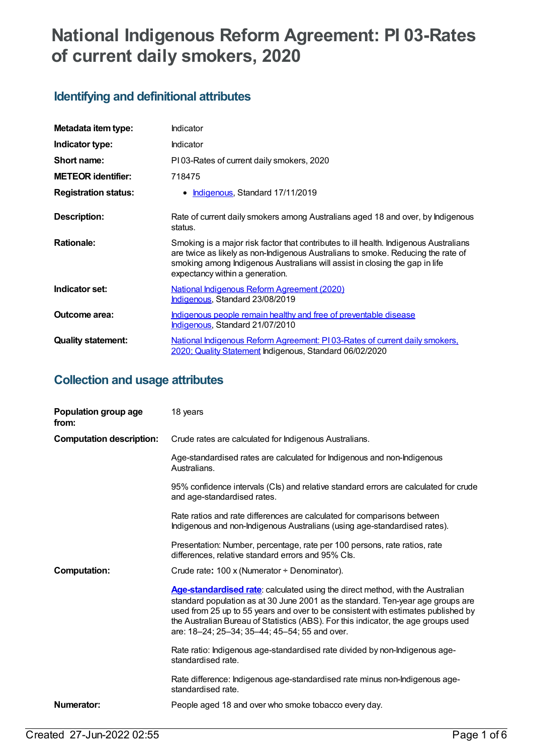# **National Indigenous Reform Agreement: PI 03-Rates of current daily smokers, 2020**

## **Identifying and definitional attributes**

| Metadata item type:         | Indicator                                                                                                                                                                                                                                                                                   |
|-----------------------------|---------------------------------------------------------------------------------------------------------------------------------------------------------------------------------------------------------------------------------------------------------------------------------------------|
| Indicator type:             | <b>Indicator</b>                                                                                                                                                                                                                                                                            |
| Short name:                 | PI03-Rates of current daily smokers, 2020                                                                                                                                                                                                                                                   |
| <b>METEOR identifier:</b>   | 718475                                                                                                                                                                                                                                                                                      |
| <b>Registration status:</b> | • Indigenous, Standard 17/11/2019                                                                                                                                                                                                                                                           |
| Description:                | Rate of current daily smokers among Australians aged 18 and over, by Indigenous<br>status.                                                                                                                                                                                                  |
| <b>Rationale:</b>           | Smoking is a major risk factor that contributes to ill health. Indigenous Australians<br>are twice as likely as non-Indigenous Australians to smoke. Reducing the rate of<br>smoking among Indigenous Australians will assist in closing the gap in life<br>expectancy within a generation. |
| Indicator set:              | National Indigenous Reform Agreement (2020)<br>Indigenous, Standard 23/08/2019                                                                                                                                                                                                              |
| Outcome area:               | <u>Indigenous people remain healthy and free of preventable disease</u><br>Indigenous, Standard 21/07/2010                                                                                                                                                                                  |
| <b>Quality statement:</b>   | National Indigenous Reform Agreement: PI03-Rates of current daily smokers,<br>2020; Quality Statement Indigenous, Standard 06/02/2020                                                                                                                                                       |

## **Collection and usage attributes**

| Population group age<br>from:   | 18 years                                                                                                                                                                                                                                                                                                                                                                                      |
|---------------------------------|-----------------------------------------------------------------------------------------------------------------------------------------------------------------------------------------------------------------------------------------------------------------------------------------------------------------------------------------------------------------------------------------------|
| <b>Computation description:</b> | Crude rates are calculated for Indigenous Australians.                                                                                                                                                                                                                                                                                                                                        |
|                                 | Age-standardised rates are calculated for Indigenous and non-Indigenous<br>Australians.                                                                                                                                                                                                                                                                                                       |
|                                 | 95% confidence intervals (Cls) and relative standard errors are calculated for crude<br>and age-standardised rates.                                                                                                                                                                                                                                                                           |
|                                 | Rate ratios and rate differences are calculated for comparisons between<br>Indigenous and non-Indigenous Australians (using age-standardised rates).                                                                                                                                                                                                                                          |
|                                 | Presentation: Number, percentage, rate per 100 persons, rate ratios, rate<br>differences, relative standard errors and 95% Cls.                                                                                                                                                                                                                                                               |
| <b>Computation:</b>             | Crude rate: 100 x (Numerator + Denominator).                                                                                                                                                                                                                                                                                                                                                  |
|                                 | Age-standardised rate: calculated using the direct method, with the Australian<br>standard population as at 30 June 2001 as the standard. Ten-year age groups are<br>used from 25 up to 55 years and over to be consistent with estimates published by<br>the Australian Bureau of Statistics (ABS). For this indicator, the age groups used<br>are: 18-24; 25-34; 35-44; 45-54; 55 and over. |
|                                 | Rate ratio: Indigenous age-standardised rate divided by non-Indigenous age-<br>standardised rate.                                                                                                                                                                                                                                                                                             |
|                                 | Rate difference: Indigenous age-standardised rate minus non-Indigenous age-<br>standardised rate.                                                                                                                                                                                                                                                                                             |
| Numerator:                      | People aged 18 and over who smoke tobacco every day.                                                                                                                                                                                                                                                                                                                                          |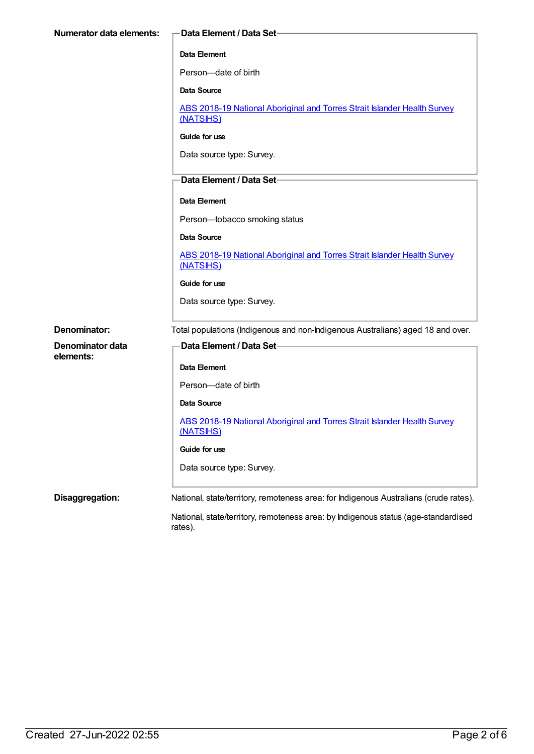| <b>Numerator data elements:</b> | Data Element / Data Set-                                                                      |
|---------------------------------|-----------------------------------------------------------------------------------------------|
|                                 | Data Element                                                                                  |
|                                 | Person-date of birth                                                                          |
|                                 | Data Source                                                                                   |
|                                 | ABS 2018-19 National Aboriginal and Torres Strait Islander Health Survey<br>(NATSIHS)         |
|                                 | Guide for use                                                                                 |
|                                 | Data source type: Survey.                                                                     |
|                                 | Data Element / Data Set-                                                                      |
|                                 | <b>Data Element</b>                                                                           |
|                                 | Person-tobacco smoking status                                                                 |
|                                 | <b>Data Source</b>                                                                            |
|                                 | ABS 2018-19 National Aboriginal and Torres Strait Islander Health Survey<br>(NATSIHS)         |
|                                 | Guide for use                                                                                 |
|                                 | Data source type: Survey.                                                                     |
| Denominator:                    | Total populations (Indigenous and non-Indigenous Australians) aged 18 and over.               |
| Denominator data                | Data Element / Data Set-                                                                      |
| elements:                       | Data Element                                                                                  |
|                                 | Person-date of birth                                                                          |
|                                 | Data Source                                                                                   |
|                                 | ABS 2018-19 National Aboriginal and Torres Strait Islander Health Survey<br>(NATSIHS)         |
|                                 | Guide for use                                                                                 |
|                                 | Data source type: Survey.                                                                     |
| Disaggregation:                 | National, state/territory, remoteness area: for Indigenous Australians (crude rates).         |
|                                 | National, state/territory, remoteness area: by Indigenous status (age-standardised<br>rates). |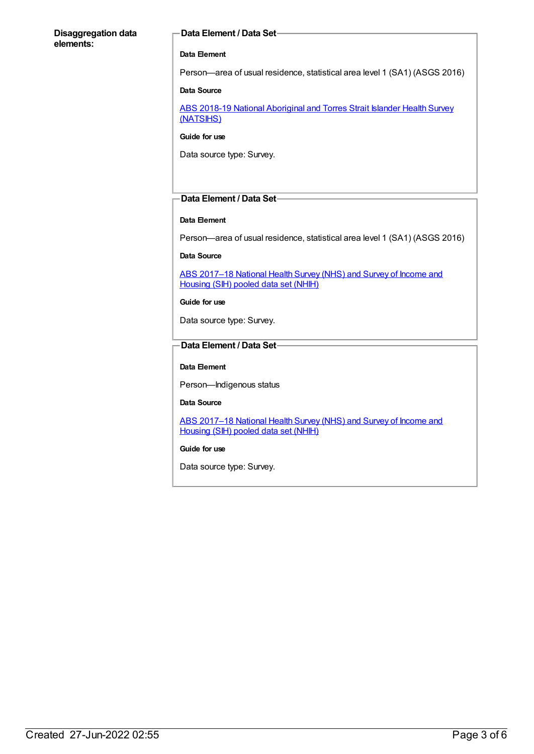#### **Disaggregation data elements:**

#### **Data Element / Data Set**

#### **Data Element**

Person—area of usual residence, statistical area level 1 (SA1) (ASGS 2016)

#### **Data Source**

ABS 2018-19 National [Aboriginal](https://meteor.aihw.gov.au/content/719848) and Torres Strait Islander Health Survey (NATSIHS)

#### **Guide for use**

Data source type: Survey.

#### **Data Element / Data Set**

#### **Data Element**

Person—area of usual residence, statistical area level 1 (SA1) (ASGS 2016)

#### **Data Source**

ABS 2017-18 National Health Survey (NHS) and Survey of Income and Housing (SIH) pooled data set (NHIH)

**Guide for use**

Data source type: Survey.

#### **Data Element / Data Set**

#### **Data Element**

Person—Indigenous status

#### **Data Source**

ABS 2017-18 National Health Survey (NHS) and Survey of Income and Housing (SIH) pooled data set (NHIH)

#### **Guide for use**

Data source type: Survey.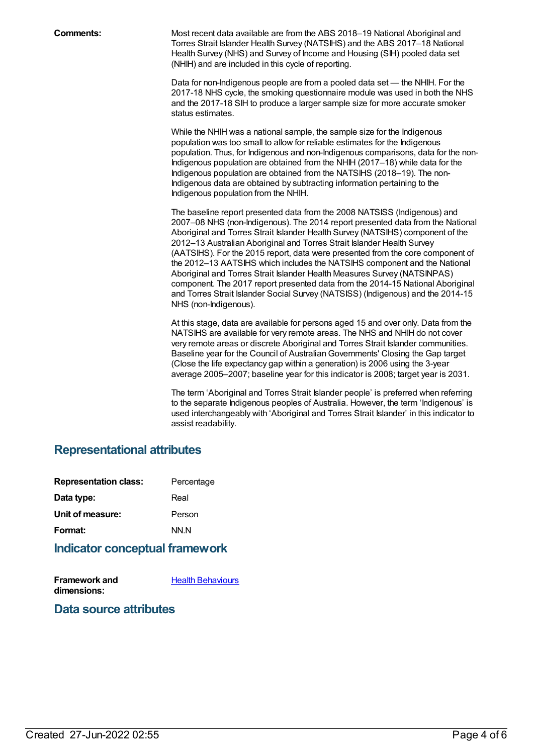**Comments:** Most recent data available are from the ABS 2018–19 National Aboriginal and Torres Strait Islander Health Survey (NATSIHS) and the ABS 2017-18 National Health Survey (NHS) and Survey of Income and Housing (SIH) pooled data set (NHIH) and are included in this cycle of reporting.

> Data for non-Indigenous people are from a pooled data set — the NHIH. For the 2017-18 NHS cycle, the smoking questionnaire module was used in both the NHS and the 2017-18 SIH to produce a larger sample size for more accurate smoker status estimates.

While the NHIH was a national sample, the sample size for the Indigenous population was too small to allow for reliable estimates for the Indigenous population. Thus, for Indigenous and non-Indigenous comparisons, data for the non-Indigenous population are obtained from the NHIH (2017–18) while data for the Indigenous population are obtained from the NATSIHS (2018–19). The non-Indigenous data are obtained by subtracting information pertaining to the Indigenous population from the NHIH.

The baseline report presented data from the 2008 NATSISS (Indigenous) and 2007–08 NHS (non-Indigenous). The 2014 report presented data from the National Aboriginal and Torres Strait Islander Health Survey (NATSIHS) component of the 2012–13 Australian Aboriginal and Torres Strait Islander Health Survey (AATSIHS). For the 2015 report, data were presented from the core component of the 2012–13 AATSIHS which includes the NATSIHS component and the National Aboriginal and Torres Strait Islander Health Measures Survey (NATSINPAS) component. The 2017 report presented data from the 2014-15 National Aboriginal and Torres Strait Islander Social Survey (NATSISS) (Indigenous) and the 2014-15 NHS (non-Indigenous).

At this stage, data are available for persons aged 15 and over only. Data from the NATSIHS are available for very remote areas. The NHS and NHIH do not cover very remote areas or discrete Aboriginal and Torres Strait Islander communities. Baseline year for the Council of AustralianGovernments' Closing the Gap target (Close the life expectancy gap within a generation) is 2006 using the 3-year average 2005–2007; baseline year for this indicator is 2008; target year is 2031.

The term 'Aboriginal and Torres Strait Islander people' is preferred when referring to the separate Indigenous peoples of Australia. However, the term 'Indigenous' is used interchangeably with 'Aboriginal and Torres Strait Islander' in this indicator to assist readability.

### **Representational attributes**

| <b>Representation class:</b> | Percentage |
|------------------------------|------------|
| Data type:                   | Real       |
| Unit of measure:             | Person     |
| Format:                      | NN.N       |
|                              |            |

### **Indicator conceptual framework**

**Framework and dimensions:**

Health [Behaviours](https://meteor.aihw.gov.au/content/410676)

**Data source attributes**